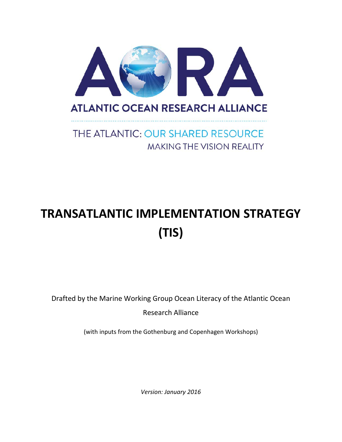

# THE ATLANTIC: OUR SHARED RESOURCE **MAKING THE VISION REALITY**

# **TRANSATLANTIC IMPLEMENTATION STRATEGY (TIS)**

Drafted by the Marine Working Group Ocean Literacy of the Atlantic Ocean

Research Alliance

(with inputs from the Gothenburg and Copenhagen Workshops)

*Version: January 2016*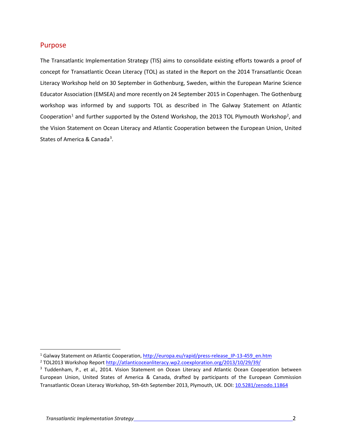#### Purpose

The Transatlantic Implementation Strategy (TIS) aims to consolidate existing efforts towards a proof of concept for Transatlantic Ocean Literacy (TOL) as stated in the Report on the 2014 Transatlantic Ocean Literacy Workshop held on 30 September in Gothenburg, Sweden, within the European Marine Science Educator Association (EMSEA) and more recently on 24 September 2015 in Copenhagen. The Gothenburg workshop was informed by and supports TOL as described in The Galway Statement on Atlantic Cooperation<sup>[1](#page-1-0)</sup> and further supported by the Ostend Workshop, the [2](#page-1-1)013 TOL Plymouth Workshop<sup>2</sup>, and the Vision Statement on Ocean Literacy and Atlantic Cooperation between the European Union, United States of America & Canada<sup>[3](#page-1-2)</sup>.

<span id="page-1-0"></span><sup>&</sup>lt;sup>1</sup> Galway Statement on Atlantic Cooperation, http://europa.eu/rapid/press-release IP-13-459 en.htm

<span id="page-1-1"></span><sup>2</sup> TOL2013 Workshop Report<http://atlanticoceanliteracy.wp2.coexploration.org/2013/10/29/39/>

<span id="page-1-2"></span><sup>&</sup>lt;sup>3</sup> Tuddenham, P., et al., 2014. Vision Statement on Ocean Literacy and Atlantic Ocean Cooperation between European Union, United States of America & Canada, drafted by participants of the European Commission Transatlantic Ocean Literacy Workshop, 5th-6th September 2013, Plymouth, UK. DOI: [10.5281/zenodo.11864](http://dx.doi.org/10.5281/zenodo.11864)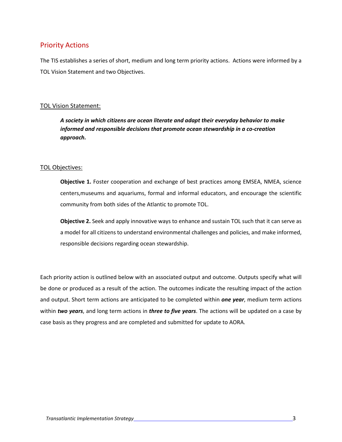#### Priority Actions

The TIS establishes a series of short, medium and long term priority actions. Actions were informed by a TOL Vision Statement and two Objectives.

#### TOL Vision Statement:

*A society in which citizens are ocean literate and adapt their everyday behavior to make informed and responsible decisions that promote ocean stewardship in a co-creation approach.*

#### TOL Objectives:

**Objective 1.** Foster cooperation and exchange of best practices among EMSEA, NMEA, science centers,museums and aquariums, formal and informal educators, and encourage the scientific community from both sides of the Atlantic to promote TOL.

**Objective 2.** Seek and apply innovative ways to enhance and sustain TOL such that it can serve as a model for all citizens to understand environmental challenges and policies, and make informed, responsible decisions regarding ocean stewardship.

Each priority action is outlined below with an associated output and outcome. Outputs specify what will be done or produced as a result of the action. The outcomes indicate the resulting impact of the action and output. Short term actions are anticipated to be completed within *one year*, medium term actions within *two years*, and long term actions in *three to five years*. The actions will be updated on a case by case basis as they progress and are completed and submitted for update to AORA.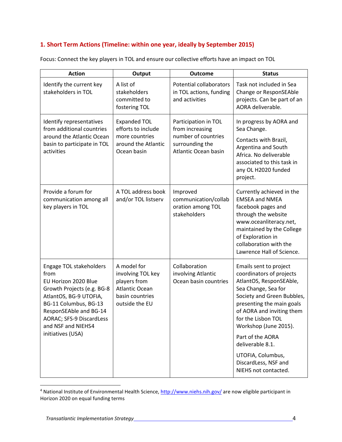#### **1. Short Term Actions (Timeline: within one year, ideally by September 2015)**

| <b>Action</b>                                                                                                                                                                                                                             | Output                                                                                                         | <b>Outcome</b>                                                                                            | <b>Status</b>                                                                                                                                                                                                                                                   |
|-------------------------------------------------------------------------------------------------------------------------------------------------------------------------------------------------------------------------------------------|----------------------------------------------------------------------------------------------------------------|-----------------------------------------------------------------------------------------------------------|-----------------------------------------------------------------------------------------------------------------------------------------------------------------------------------------------------------------------------------------------------------------|
| Identify the current key<br>stakeholders in TOL                                                                                                                                                                                           | A list of<br>stakeholders<br>committed to<br>fostering TOL                                                     | <b>Potential collaborators</b><br>in TOL actions, funding<br>and activities                               | Task not included in Sea<br>Change or ResponSEAble<br>projects. Can be part of an<br>AORA deliverable.                                                                                                                                                          |
| Identify representatives<br>from additional countries<br>around the Atlantic Ocean<br>basin to participate in TOL<br>activities                                                                                                           | <b>Expanded TOL</b><br>efforts to include<br>more countries<br>around the Atlantic<br>Ocean basin              | Participation in TOL<br>from increasing<br>number of countries<br>surrounding the<br>Atlantic Ocean basin | In progress by AORA and<br>Sea Change.<br>Contacts with Brazil,<br>Argentina and South<br>Africa. No deliverable<br>associated to this task in<br>any OL H2020 funded<br>project.                                                                               |
| Provide a forum for<br>communication among all<br>key players in TOL                                                                                                                                                                      | A TOL address book<br>and/or TOL listserv                                                                      | Improved<br>communication/collab<br>oration among TOL<br>stakeholders                                     | Currently achieved in the<br><b>EMSEA and NMEA</b><br>facebook pages and<br>through the website<br>www.oceanliteracy.net,<br>maintained by the College<br>of Exploration in<br>collaboration with the<br>Lawrence Hall of Science.                              |
| Engage TOL stakeholders<br>from<br>EU Horizon 2020 Blue<br>Growth Projects (e.g. BG-8<br>AtlantOS, BG-9 UTOFIA,<br>BG-11 Columbus, BG-13<br>ResponSEAble and BG-14<br>AORAC; SFS-9 DiscardLess<br>and NSF and NIEHS4<br>initiatives (USA) | A model for<br>involving TOL key<br>players from<br><b>Atlantic Ocean</b><br>basin countries<br>outside the EU | Collaboration<br>involving Atlantic<br>Ocean basin countries                                              | Emails sent to project<br>coordinators of projects<br>AtlantOS, ResponSEAble,<br>Sea Change, Sea for<br>Society and Green Bubbles,<br>presenting the main goals<br>of AORA and inviting them<br>for the Lisbon TOL<br>Workshop (June 2015).<br>Part of the AORA |
|                                                                                                                                                                                                                                           |                                                                                                                |                                                                                                           | deliverable 8.1.<br>UTOFIA, Columbus,<br>DiscardLess, NSF and<br>NIEHS not contacted.                                                                                                                                                                           |

Focus: Connect the key players in TOL and ensure our collective efforts have an impact on TOL

<span id="page-3-0"></span><sup>&</sup>lt;sup>4</sup> National Institute of Environmental Health Science,<http://www.niehs.nih.gov/> are now eligible participant in Horizon 2020 on equal funding terms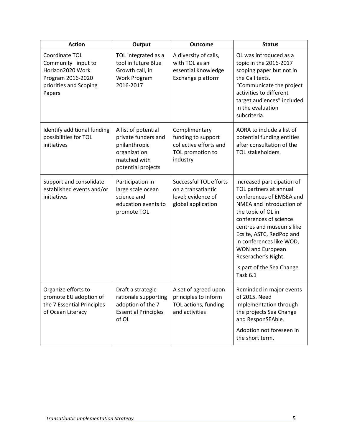| <b>Action</b>                                                                                                     | Output                                                                                                            | <b>Outcome</b>                                                                                | <b>Status</b>                                                                                                                                                                                                                                                                                                                                      |
|-------------------------------------------------------------------------------------------------------------------|-------------------------------------------------------------------------------------------------------------------|-----------------------------------------------------------------------------------------------|----------------------------------------------------------------------------------------------------------------------------------------------------------------------------------------------------------------------------------------------------------------------------------------------------------------------------------------------------|
| Coordinate TOL<br>Community input to<br>Horizon2020 Work<br>Program 2016-2020<br>priorities and Scoping<br>Papers | TOL integrated as a<br>tool in future Blue<br>Growth call, in<br>Work Program<br>2016-2017                        | A diversity of calls,<br>with TOL as an<br>essential Knowledge<br>Exchange platform           | OL was introduced as a<br>topic in the 2016-2017<br>scoping paper but not in<br>the Call texts.<br>"Communicate the project<br>activities to different<br>target audiences" included<br>in the evaluation<br>subcriteria.                                                                                                                          |
| Identify additional funding<br>possibilities for TOL<br>initiatives                                               | A list of potential<br>private funders and<br>philanthropic<br>organization<br>matched with<br>potential projects | Complimentary<br>funding to support<br>collective efforts and<br>TOL promotion to<br>industry | AORA to include a list of<br>potential funding entities<br>after consultation of the<br>TOL stakeholders.                                                                                                                                                                                                                                          |
| Support and consolidate<br>established events and/or<br>initiatives                                               | Participation in<br>large scale ocean<br>science and<br>education events to<br>promote TOL                        | Successful TOL efforts<br>on a transatlantic<br>level; evidence of<br>global application      | Increased participation of<br>TOL partners at annual<br>conferences of EMSEA and<br>NMEA and introduction of<br>the topic of OL in<br>conferences of science<br>centres and museums like<br>Ecsite, ASTC, RedPop and<br>in conferences like WOD,<br><b>WON and European</b><br>Reseracher's Night.<br>Is part of the Sea Change<br><b>Task 6.1</b> |
| Organize efforts to<br>promote EU adoption of<br>the 7 Essential Principles<br>of Ocean Literacy                  | Draft a strategic<br>rationale supporting<br>adoption of the 7<br><b>Essential Principles</b><br>of OL            | A set of agreed upon<br>principles to inform<br>TOL actions, funding<br>and activities        | Reminded in major events<br>of 2015. Need<br>implementation through<br>the projects Sea Change<br>and ResponSEAble.<br>Adoption not foreseen in<br>the short term.                                                                                                                                                                                 |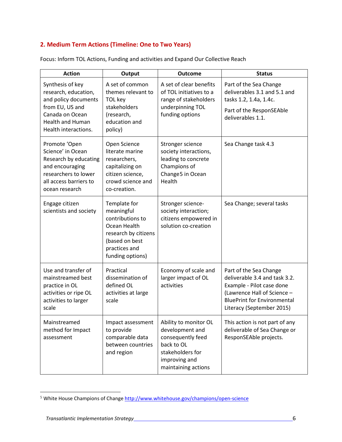#### **2. Medium Term Actions (Timeline: One to Two Years)**

| <b>Action</b>                                                                                                                                             | Output                                                                                                                                        | <b>Outcome</b>                                                                                                                          | <b>Status</b>                                                                                                                                                                          |
|-----------------------------------------------------------------------------------------------------------------------------------------------------------|-----------------------------------------------------------------------------------------------------------------------------------------------|-----------------------------------------------------------------------------------------------------------------------------------------|----------------------------------------------------------------------------------------------------------------------------------------------------------------------------------------|
| Synthesis of key<br>research, education,<br>and policy documents<br>from EU, US and<br>Canada on Ocean<br><b>Health and Human</b><br>Health interactions. | A set of common<br>themes relevant to<br>TOL key<br>stakeholders<br>(research,<br>education and<br>policy)                                    | A set of clear benefits<br>of TOL initiatives to a<br>range of stakeholders<br>underpinning TOL<br>funding options                      | Part of the Sea Change<br>deliverables 3.1 and 5.1 and<br>tasks 1.2, 1.4a, 1.4c.<br>Part of the ResponSEAble<br>deliverables 1.1.                                                      |
| Promote 'Open<br>Science' in Ocean<br>Research by educating<br>and encouraging<br>researchers to lower<br>all access barriers to<br>ocean research        | Open Science<br>literate marine<br>researchers,<br>capitalizing on<br>citizen science,<br>crowd science and<br>co-creation.                   | Stronger science<br>society interactions,<br>leading to concrete<br>Champions of<br>Change5 in Ocean<br>Health                          | Sea Change task 4.3                                                                                                                                                                    |
| Engage citizen<br>scientists and society                                                                                                                  | Template for<br>meaningful<br>contributions to<br>Ocean Health<br>research by citizens<br>(based on best<br>practices and<br>funding options) | Stronger science-<br>society interaction;<br>citizens empowered in<br>solution co-creation                                              | Sea Change; several tasks                                                                                                                                                              |
| Use and transfer of<br>mainstreamed best<br>practice in OL<br>activities or ripe OL<br>activities to larger<br>scale                                      | Practical<br>dissemination of<br>defined OL<br>activities at large<br>scale                                                                   | Economy of scale and<br>larger impact of OL<br>activities                                                                               | Part of the Sea Change<br>deliverable 3.4 and task 3.2.<br>Example - Pilot case done<br>(Lawrence Hall of Science -<br><b>BluePrint for Environmental</b><br>Literacy (September 2015) |
| Mainstreamed<br>method for Impact<br>assessment                                                                                                           | Impact assessment<br>to provide<br>comparable data<br>between countries<br>and region                                                         | Ability to monitor OL<br>development and<br>consequently feed<br>back to OL<br>stakeholders for<br>improving and<br>maintaining actions | This action is not part of any<br>deliverable of Sea Change or<br>ResponSEAble projects.                                                                                               |

Focus: Inform TOL Actions, Funding and activities and Expand Our Collective Reach

l

<span id="page-5-0"></span><sup>&</sup>lt;sup>5</sup> White House Champions of Chang[e http://www.whitehouse.gov/champions/open-science](http://www.whitehouse.gov/champions/open-science)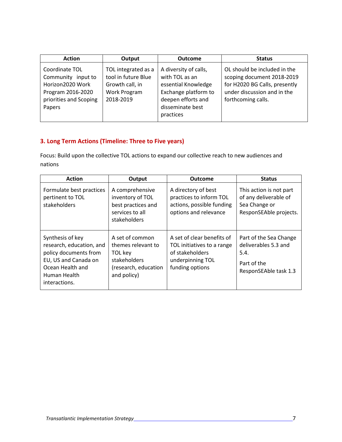| <b>Action</b>                                                                                                     | Output                                                                                     | <b>Outcome</b>                                                                                                                                | <b>Status</b>                                                                                                                                    |
|-------------------------------------------------------------------------------------------------------------------|--------------------------------------------------------------------------------------------|-----------------------------------------------------------------------------------------------------------------------------------------------|--------------------------------------------------------------------------------------------------------------------------------------------------|
| Coordinate TOL<br>Community input to<br>Horizon2020 Work<br>Program 2016-2020<br>priorities and Scoping<br>Papers | TOL integrated as a<br>tool in future Blue<br>Growth call, in<br>Work Program<br>2018-2019 | A diversity of calls,<br>with TOL as an<br>essential Knowledge<br>Exchange platform to<br>deepen efforts and<br>disseminate best<br>practices | OL should be included in the<br>scoping document 2018-2019<br>for H2020 BG Calls, presently<br>under discussion and in the<br>forthcoming calls. |

#### **3. Long Term Actions (Timeline: Three to Five years)**

Focus: Build upon the collective TOL actions to expand our collective reach to new audiences and nations

| <b>Action</b>                                                                                                                                      | Output                                                                                                  | <b>Outcome</b>                                                                                                     | <b>Status</b>                                                                                  |
|----------------------------------------------------------------------------------------------------------------------------------------------------|---------------------------------------------------------------------------------------------------------|--------------------------------------------------------------------------------------------------------------------|------------------------------------------------------------------------------------------------|
| Formulate best practices<br>pertinent to TOL<br>stakeholders                                                                                       | A comprehensive<br>inventory of TOL<br>best practices and<br>services to all<br>stakeholders            | A directory of best<br>practices to inform TOL<br>actions, possible funding<br>options and relevance               | This action is not part<br>of any deliverable of<br>Sea Change or<br>ResponSEAble projects.    |
| Synthesis of key<br>research, education, and<br>policy documents from<br>EU, US and Canada on<br>Ocean Health and<br>Human Health<br>interactions. | A set of common<br>themes relevant to<br>TOL key<br>stakeholders<br>(research, education<br>and policy) | A set of clear benefits of<br>TOL initiatives to a range<br>of stakeholders<br>underpinning TOL<br>funding options | Part of the Sea Change<br>deliverables 5.3 and<br>5.4.<br>Part of the<br>ResponSEAble task 1.3 |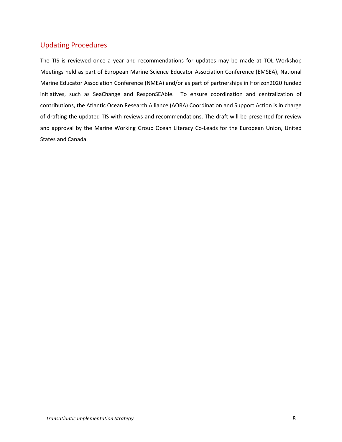# Updating Procedures

The TIS is reviewed once a year and recommendations for updates may be made at TOL Workshop Meetings held as part of European Marine Science Educator Association Conference (EMSEA), National Marine Educator Association Conference (NMEA) and/or as part of partnerships in Horizon2020 funded initiatives, such as SeaChange and ResponSEAble. To ensure coordination and centralization of contributions, the Atlantic Ocean Research Alliance (AORA) Coordination and Support Action is in charge of drafting the updated TIS with reviews and recommendations. The draft will be presented for review and approval by the Marine Working Group Ocean Literacy Co-Leads for the European Union, United States and Canada.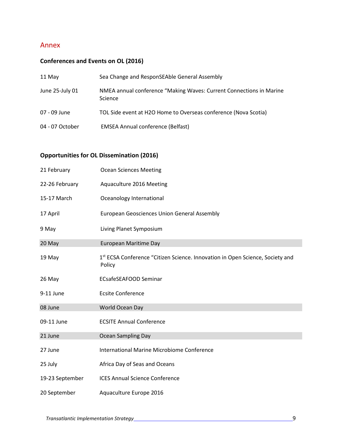#### Annex

## **Conferences and Events on OL (2016)**

| 11 May          | Sea Change and ResponSEAble General Assembly                                   |
|-----------------|--------------------------------------------------------------------------------|
| June 25-July 01 | NMEA annual conference "Making Waves: Current Connections in Marine<br>Science |
| 07 - 09 June    | TOL Side event at H2O Home to Overseas conference (Nova Scotia)                |
| 04 - 07 October | <b>EMSEA Annual conference (Belfast)</b>                                       |

## **Opportunities for OL Dissemination (2016)**

| 21 February     | <b>Ocean Sciences Meeting</b>                                                           |
|-----------------|-----------------------------------------------------------------------------------------|
| 22-26 February  | Aquaculture 2016 Meeting                                                                |
| 15-17 March     | Oceanology International                                                                |
| 17 April        | <b>European Geosciences Union General Assembly</b>                                      |
| 9 May           | Living Planet Symposium                                                                 |
| 20 May          | <b>European Maritime Day</b>                                                            |
| 19 May          | 1st ECSA Conference "Citizen Science. Innovation in Open Science, Society and<br>Policy |
| 26 May          | <b>ECsafeSEAFOOD Seminar</b>                                                            |
| 9-11 June       | <b>Ecsite Conference</b>                                                                |
| 08 June         | World Ocean Day                                                                         |
| 09-11 June      | <b>ECSITE Annual Conference</b>                                                         |
| 21 June         | <b>Ocean Sampling Day</b>                                                               |
| 27 June         | <b>International Marine Microbiome Conference</b>                                       |
| 25 July         | Africa Day of Seas and Oceans                                                           |
| 19-23 September | <b>ICES Annual Science Conference</b>                                                   |
| 20 September    | Aquaculture Europe 2016                                                                 |